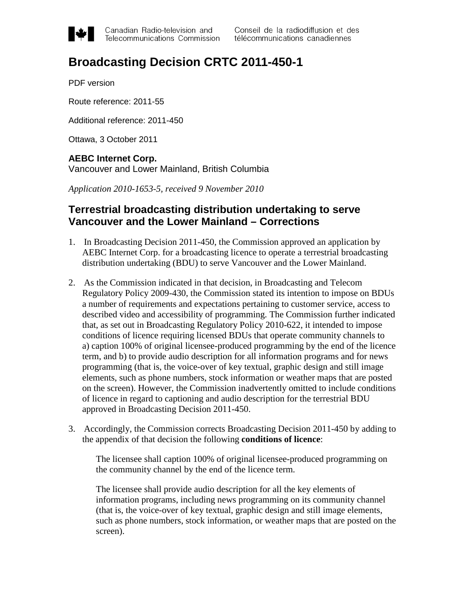

Canadian Radio-television and Telecommunications Commission

# **Broadcasting Decision CRTC 2011-450-1**

PDF version

Route reference: 2011-55

Additional reference: 2011-450

Ottawa, 3 October 2011

## **AEBC Internet Corp.**

Vancouver and Lower Mainland, British Columbia

*Application 2010-1653-5, received 9 November 2010*

## **Terrestrial broadcasting distribution undertaking to serve Vancouver and the Lower Mainland – Corrections**

- 1. In Broadcasting Decision 2011-450, the Commission approved an application by AEBC Internet Corp. for a broadcasting licence to operate a terrestrial broadcasting distribution undertaking (BDU) to serve Vancouver and the Lower Mainland.
- 2. As the Commission indicated in that decision, in Broadcasting and Telecom Regulatory Policy 2009-430, the Commission stated its intention to impose on BDUs a number of requirements and expectations pertaining to customer service, access to described video and accessibility of programming. The Commission further indicated that, as set out in Broadcasting Regulatory Policy 2010-622, it intended to impose conditions of licence requiring licensed BDUs that operate community channels to a) caption 100% of original licensee-produced programming by the end of the licence term, and b) to provide audio description for all information programs and for news programming (that is, the voice-over of key textual, graphic design and still image elements, such as phone numbers, stock information or weather maps that are posted on the screen). However, the Commission inadvertently omitted to include conditions of licence in regard to captioning and audio description for the terrestrial BDU approved in Broadcasting Decision 2011-450.
- 3. Accordingly, the Commission corrects Broadcasting Decision 2011-450 by adding to the appendix of that decision the following **conditions of licence**:

The licensee shall caption 100% of original licensee-produced programming on the community channel by the end of the licence term.

The licensee shall provide audio description for all the key elements of information programs, including news programming on its community channel (that is, the voice-over of key textual, graphic design and still image elements, such as phone numbers, stock information, or weather maps that are posted on the screen).